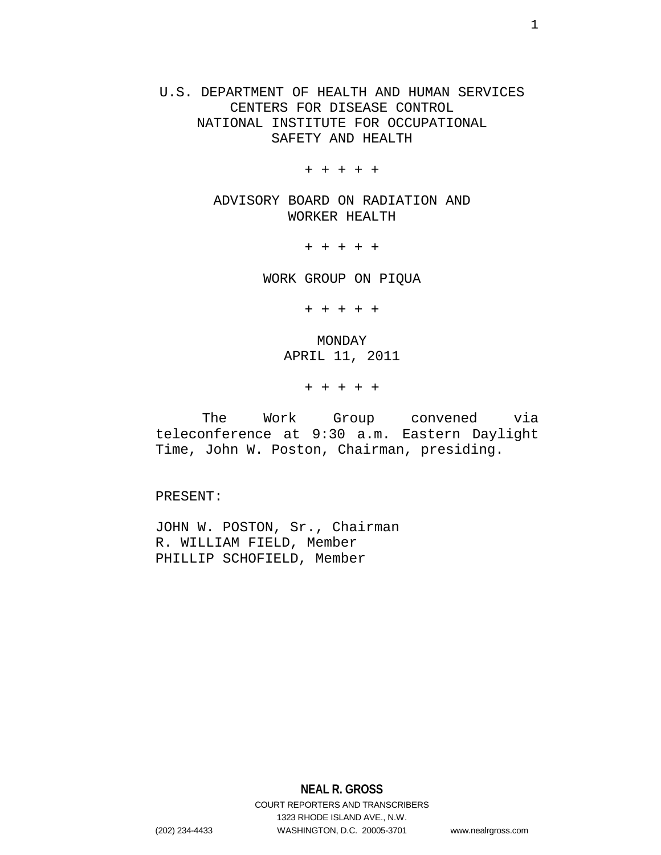U.S. DEPARTMENT OF HEALTH AND HUMAN SERVICES CENTERS FOR DISEASE CONTROL NATIONAL INSTITUTE FOR OCCUPATIONAL SAFETY AND HEALTH

+ + + + +

ADVISORY BOARD ON RADIATION AND WORKER HEALTH

+ + + + +

WORK GROUP ON PIQUA

+ + + + +

MONDAY APRIL 11, 2011

+ + + + +

The Work Group convened via teleconference at 9:30 a.m. Eastern Daylight Time, John W. Poston, Chairman, presiding.

PRESENT:

JOHN W. POSTON, Sr., Chairman R. WILLIAM FIELD, Member PHILLIP SCHOFIELD, Member

**NEAL R. GROSS** COURT REPORTERS AND TRANSCRIBERS 1323 RHODE ISLAND AVE., N.W. (202) 234-4433 WASHINGTON, D.C. 20005-3701 www.nealrgross.com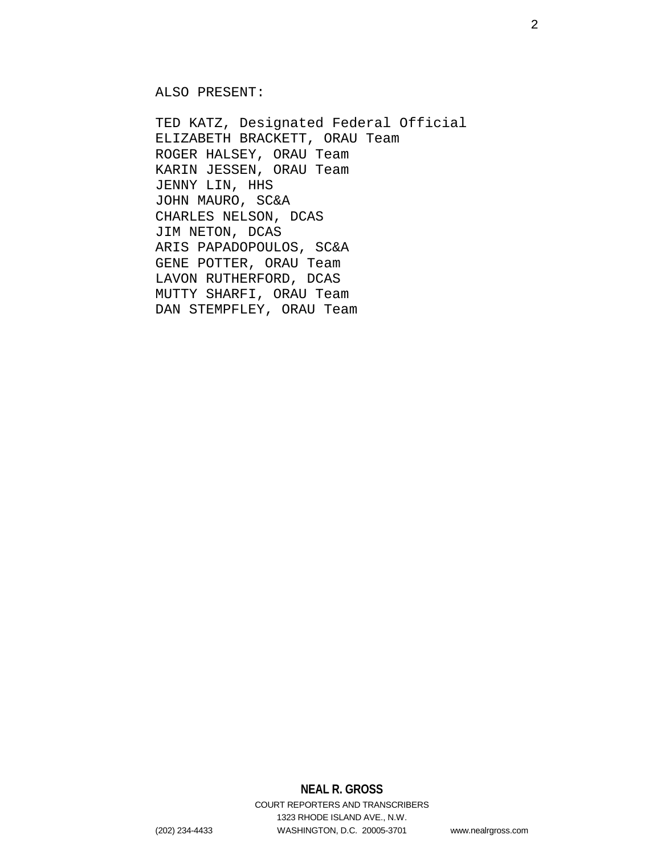ALSO PRESENT:

TED KATZ, Designated Federal Official ELIZABETH BRACKETT, ORAU Team ROGER HALSEY, ORAU Team KARIN JESSEN, ORAU Team JENNY LIN, HHS JOHN MAURO, SC&A CHARLES NELSON, DCAS JIM NETON, DCAS ARIS PAPADOPOULOS, SC&A GENE POTTER, ORAU Team LAVON RUTHERFORD, DCAS MUTTY SHARFI, ORAU Team DAN STEMPFLEY, ORAU Team

COURT REPORTERS AND TRANSCRIBERS 1323 RHODE ISLAND AVE., N.W. (202) 234-4433 WASHINGTON, D.C. 20005-3701 www.nealrgross.com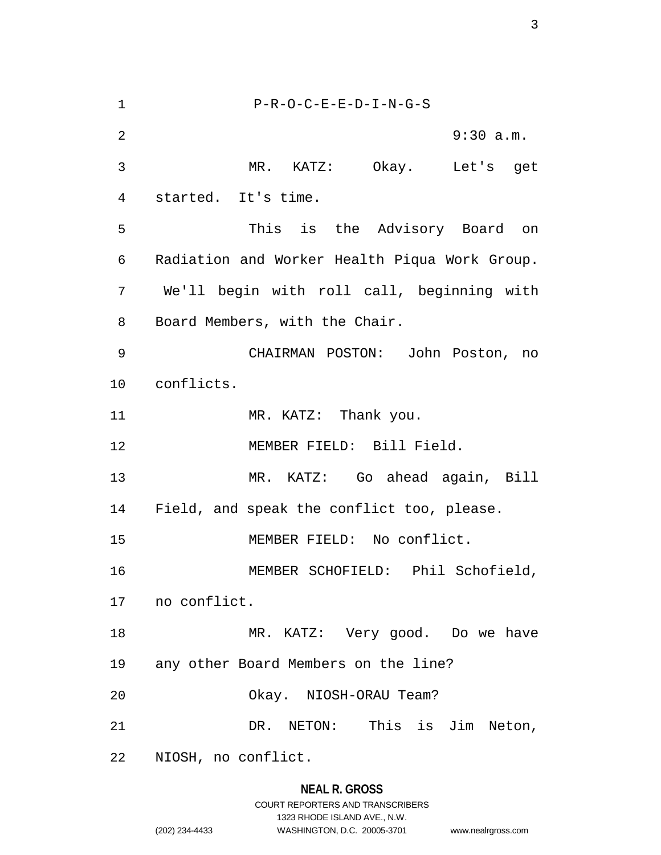1 P-R-O-C-E-E-D-I-N-G-S 2 9:30 a.m. 3 MR. KATZ: Okay. Let's get 4 started. It's time. 5 This is the Advisory Board on 6 Radiation and Worker Health Piqua Work Group. 7 We'll begin with roll call, beginning with 8 Board Members, with the Chair. 9 CHAIRMAN POSTON: John Poston, no 10 conflicts. 11 MR. KATZ: Thank you. 12 MEMBER FIELD: Bill Field. 13 MR. KATZ: Go ahead again, Bill 14 Field, and speak the conflict too, please. 15 MEMBER FIELD: No conflict. 16 MEMBER SCHOFIELD: Phil Schofield, 17 no conflict. 18 MR. KATZ: Very good. Do we have 19 any other Board Members on the line? 20 Okay. NIOSH-ORAU Team? 21 DR. NETON: This is Jim Neton, 22 NIOSH, no conflict.

### **NEAL R. GROSS**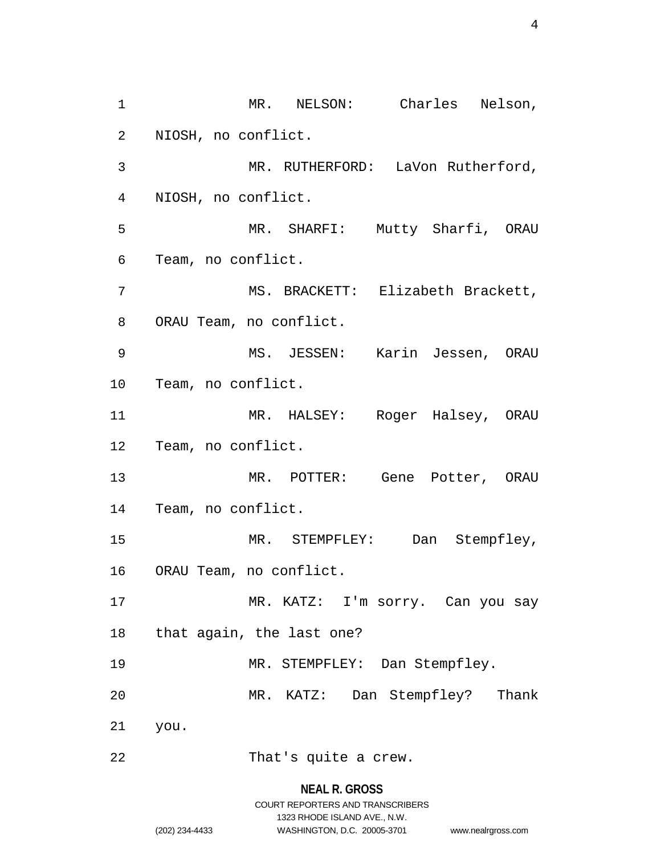1 MR. NELSON: Charles Nelson, 2 NIOSH, no conflict. 3 MR. RUTHERFORD: LaVon Rutherford, 4 NIOSH, no conflict. 5 MR. SHARFI: Mutty Sharfi, ORAU 6 Team, no conflict. 7 MS. BRACKETT: Elizabeth Brackett, 8 ORAU Team, no conflict. 9 MS. JESSEN: Karin Jessen, ORAU 10 Team, no conflict. 11 MR. HALSEY: Roger Halsey, ORAU 12 Team, no conflict. 13 MR. POTTER: Gene Potter, ORAU 14 Team, no conflict. 15 MR. STEMPFLEY: Dan Stempfley, 16 ORAU Team, no conflict. 17 MR. KATZ: I'm sorry. Can you say 18 that again, the last one? 19 MR. STEMPFLEY: Dan Stempfley. 20 MR. KATZ: Dan Stempfley? Thank 21 you. 22 That's quite a crew.

## **NEAL R. GROSS**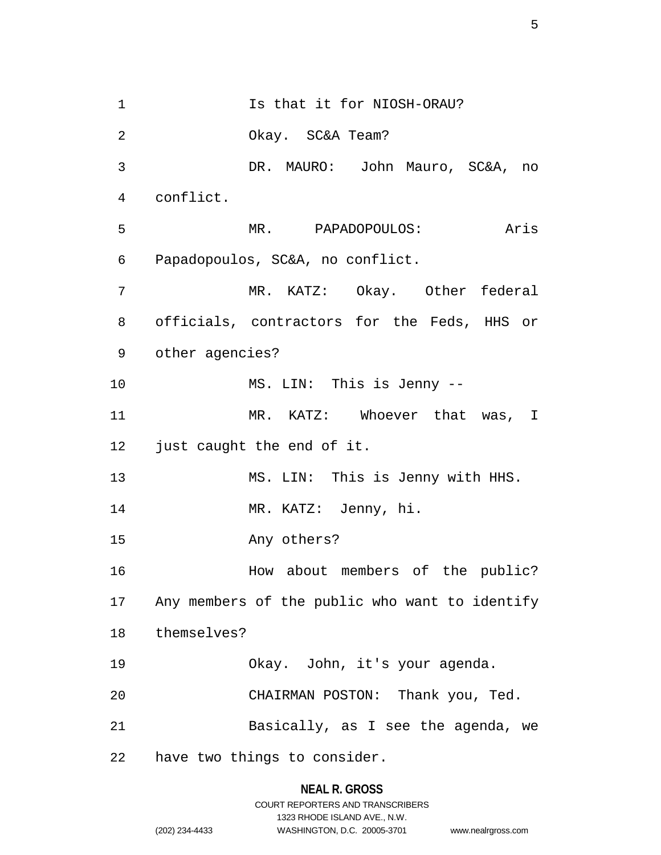1 Is that it for NIOSH-ORAU? 2 Okay. SC&A Team? 3 DR. MAURO: John Mauro, SC&A, no 4 conflict. 5 MR. PAPADOPOULOS: Aris 6 Papadopoulos, SC&A, no conflict. 7 MR. KATZ: Okay. Other federal 8 officials, contractors for the Feds, HHS or 9 other agencies? 10 MS. LIN: This is Jenny -- 11 MR. KATZ: Whoever that was, I 12 just caught the end of it. 13 MS. LIN: This is Jenny with HHS. 14 MR. KATZ: Jenny, hi. 15 Any others? 16 How about members of the public? 17 Any members of the public who want to identify 18 themselves? 19 Okay. John, it's your agenda. 20 CHAIRMAN POSTON: Thank you, Ted. 21 Basically, as I see the agenda, we 22 have two things to consider.

## **NEAL R. GROSS**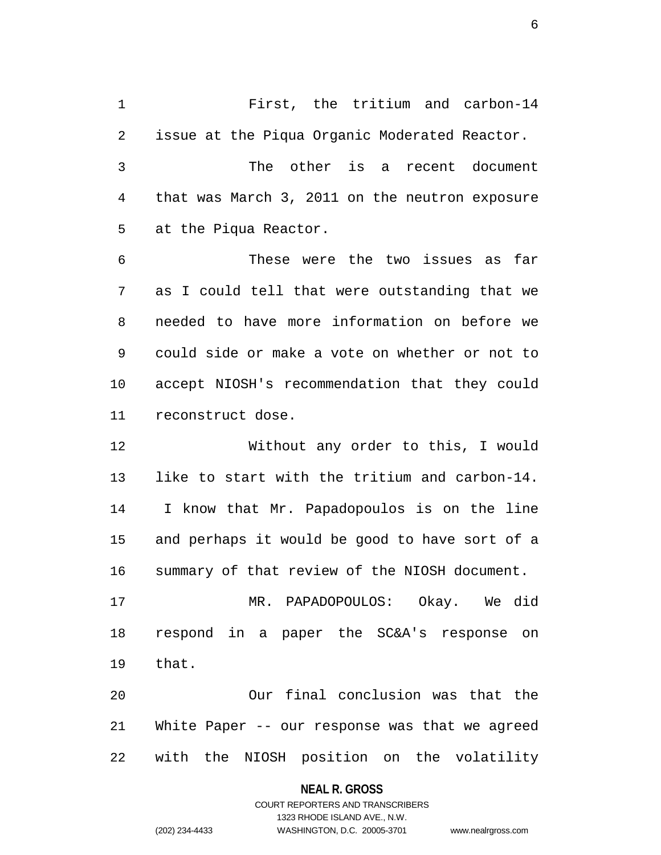1 First, the tritium and carbon-14 2 issue at the Piqua Organic Moderated Reactor. 3 The other is a recent document 4 that was March 3, 2011 on the neutron exposure 5 at the Piqua Reactor.

6 These were the two issues as far 7 as I could tell that were outstanding that we 8 needed to have more information on before we 9 could side or make a vote on whether or not to 10 accept NIOSH's recommendation that they could 11 reconstruct dose.

12 Without any order to this, I would 13 like to start with the tritium and carbon-14. 14 I know that Mr. Papadopoulos is on the line 15 and perhaps it would be good to have sort of a 16 summary of that review of the NIOSH document.

17 MR. PAPADOPOULOS: Okay. We did 18 respond in a paper the SC&A's response on 19 that.

20 Our final conclusion was that the 21 White Paper -- our response was that we agreed 22 with the NIOSH position on the volatility

### **NEAL R. GROSS**

## COURT REPORTERS AND TRANSCRIBERS 1323 RHODE ISLAND AVE., N.W. (202) 234-4433 WASHINGTON, D.C. 20005-3701 www.nealrgross.com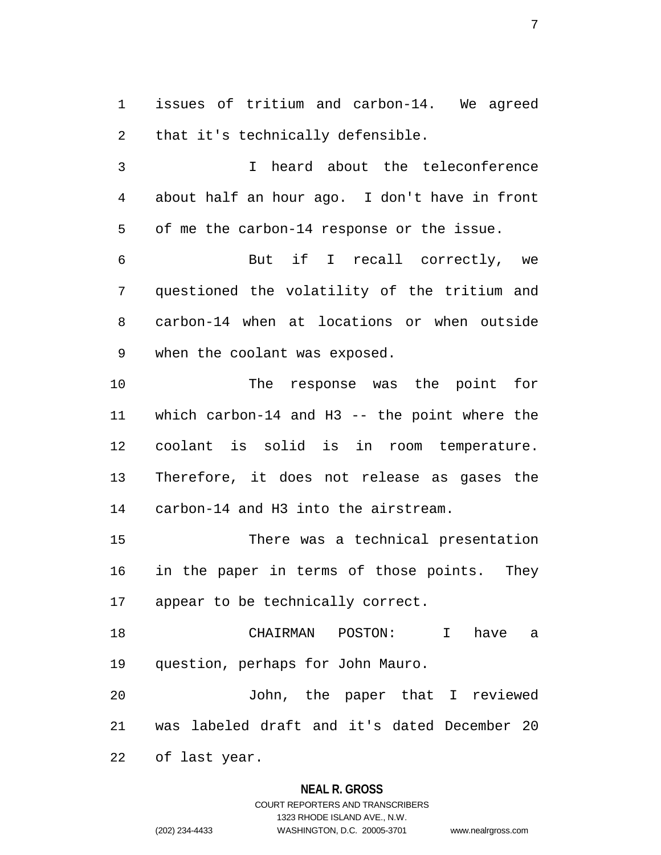1 issues of tritium and carbon-14. We agreed 2 that it's technically defensible.

3 I heard about the teleconference 4 about half an hour ago. I don't have in front 5 of me the carbon-14 response or the issue.

6 But if I recall correctly, we 7 questioned the volatility of the tritium and 8 carbon-14 when at locations or when outside 9 when the coolant was exposed.

10 The response was the point for 11 which carbon-14 and H3 -- the point where the 12 coolant is solid is in room temperature. 13 Therefore, it does not release as gases the 14 carbon-14 and H3 into the airstream.

15 There was a technical presentation 16 in the paper in terms of those points. They 17 appear to be technically correct.

18 CHAIRMAN POSTON: I have a 19 question, perhaps for John Mauro.

20 John, the paper that I reviewed 21 was labeled draft and it's dated December 20

22 of last year.

## **NEAL R. GROSS**

# COURT REPORTERS AND TRANSCRIBERS 1323 RHODE ISLAND AVE., N.W. (202) 234-4433 WASHINGTON, D.C. 20005-3701 www.nealrgross.com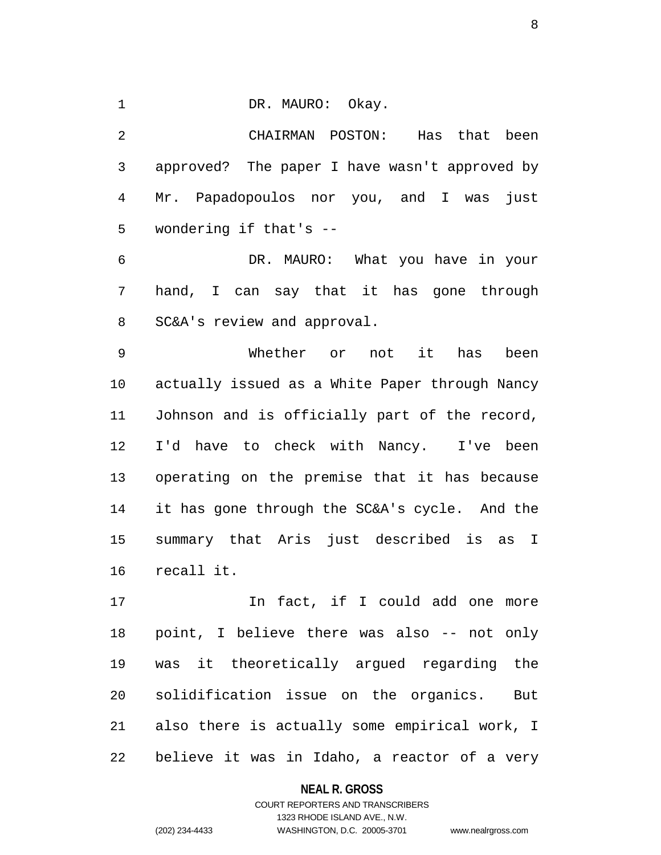1 DR. MAURO: Okay.

2 CHAIRMAN POSTON: Has that been 3 approved? The paper I have wasn't approved by 4 Mr. Papadopoulos nor you, and I was just 5 wondering if that's --

6 DR. MAURO: What you have in your 7 hand, I can say that it has gone through 8 SC&A's review and approval.

9 Whether or not it has been 10 actually issued as a White Paper through Nancy 11 Johnson and is officially part of the record, 12 I'd have to check with Nancy. I've been 13 operating on the premise that it has because 14 it has gone through the SC&A's cycle. And the 15 summary that Aris just described is as I 16 recall it.

17 17 In fact, if I could add one more 18 point, I believe there was also -- not only 19 was it theoretically argued regarding the 20 solidification issue on the organics. But 21 also there is actually some empirical work, I 22 believe it was in Idaho, a reactor of a very

## **NEAL R. GROSS**

## COURT REPORTERS AND TRANSCRIBERS 1323 RHODE ISLAND AVE., N.W. (202) 234-4433 WASHINGTON, D.C. 20005-3701 www.nealrgross.com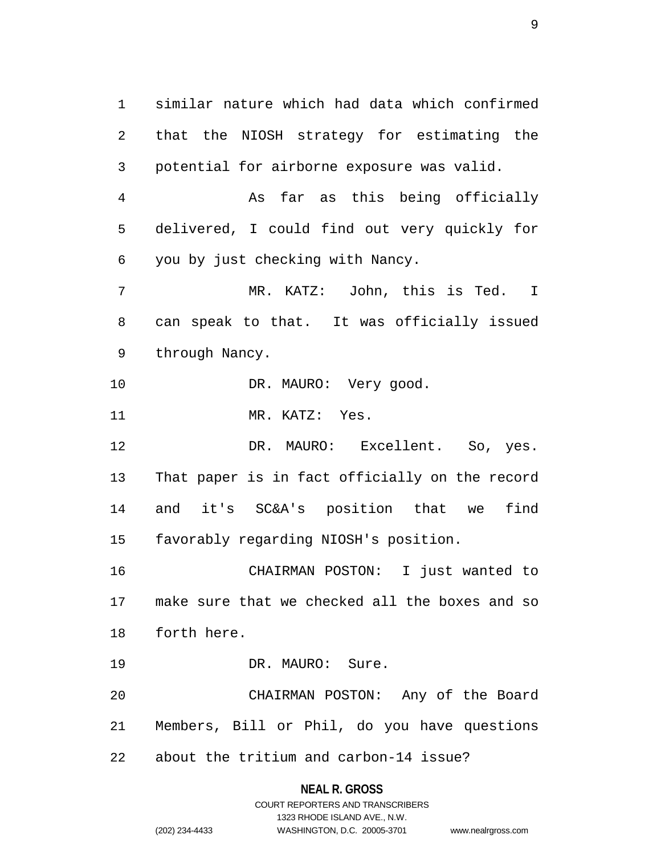1 similar nature which had data which confirmed 2 that the NIOSH strategy for estimating the 3 potential for airborne exposure was valid.

4 As far as this being officially 5 delivered, I could find out very quickly for 6 you by just checking with Nancy.

7 MR. KATZ: John, this is Ted. I 8 can speak to that. It was officially issued 9 through Nancy.

10 DR. MAURO: Very good.

11 MR. KATZ: Yes.

12 DR. MAURO: Excellent. So, yes. 13 That paper is in fact officially on the record 14 and it's SC&A's position that we find 15 favorably regarding NIOSH's position.

16 CHAIRMAN POSTON: I just wanted to 17 make sure that we checked all the boxes and so 18 forth here.

19 DR. MAURO: Sure.

20 CHAIRMAN POSTON: Any of the Board 21 Members, Bill or Phil, do you have questions 22 about the tritium and carbon-14 issue?

### **NEAL R. GROSS**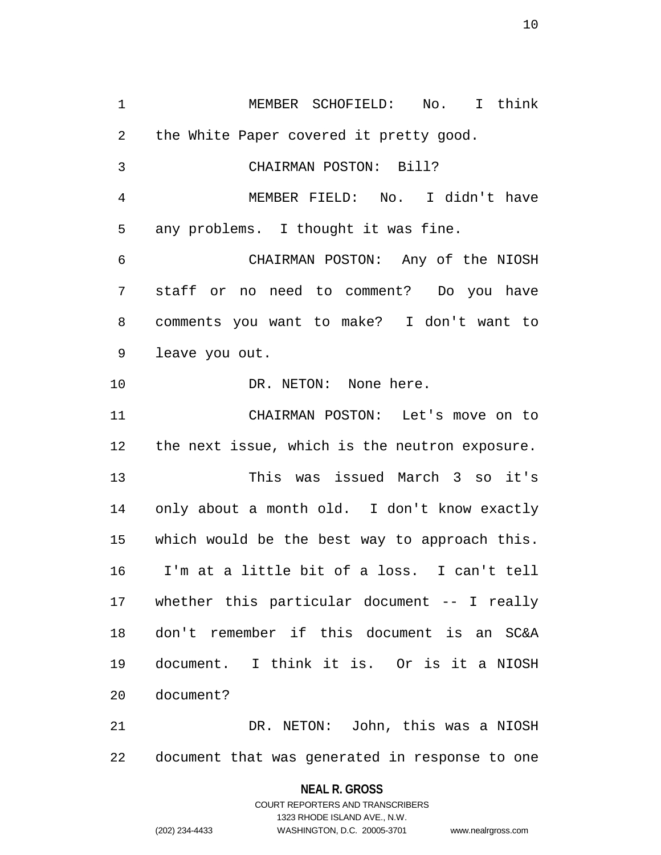1 MEMBER SCHOFIELD: No. I think 2 the White Paper covered it pretty good. 3 CHAIRMAN POSTON: Bill? 4 MEMBER FIELD: No. I didn't have 5 any problems. I thought it was fine. 6 CHAIRMAN POSTON: Any of the NIOSH 7 staff or no need to comment? Do you have 8 comments you want to make? I don't want to 9 leave you out. 10 DR. NETON: None here. 11 CHAIRMAN POSTON: Let's move on to 12 the next issue, which is the neutron exposure. 13 This was issued March 3 so it's 14 only about a month old. I don't know exactly 15 which would be the best way to approach this. 16 I'm at a little bit of a loss. I can't tell 17 whether this particular document -- I really 18 don't remember if this document is an SC&A 19 document. I think it is. Or is it a NIOSH 20 document? 21 DR. NETON: John, this was a NIOSH

22 document that was generated in response to one

**NEAL R. GROSS** COURT REPORTERS AND TRANSCRIBERS

1323 RHODE ISLAND AVE., N.W. (202) 234-4433 WASHINGTON, D.C. 20005-3701 www.nealrgross.com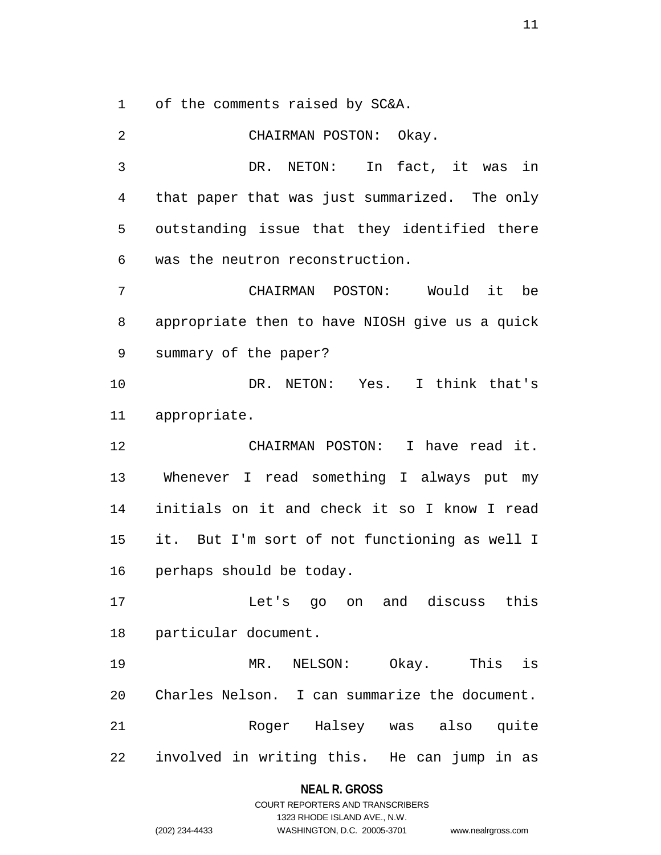1 of the comments raised by SC&A.

2 CHAIRMAN POSTON: Okay. 3 DR. NETON: In fact, it was in 4 that paper that was just summarized. The only 5 outstanding issue that they identified there 6 was the neutron reconstruction. 7 CHAIRMAN POSTON: Would it be 8 appropriate then to have NIOSH give us a quick 9 summary of the paper? 10 DR. NETON: Yes. I think that's 11 appropriate. 12 CHAIRMAN POSTON: I have read it. 13 Whenever I read something I always put my 14 initials on it and check it so I know I read 15 it. But I'm sort of not functioning as well I 16 perhaps should be today. 17 Let's go on and discuss this 18 particular document. 19 MR. NELSON: Okay. This is 20 Charles Nelson. I can summarize the document. 21 Roger Halsey was also quite 22 involved in writing this. He can jump in as

## **NEAL R. GROSS** COURT REPORTERS AND TRANSCRIBERS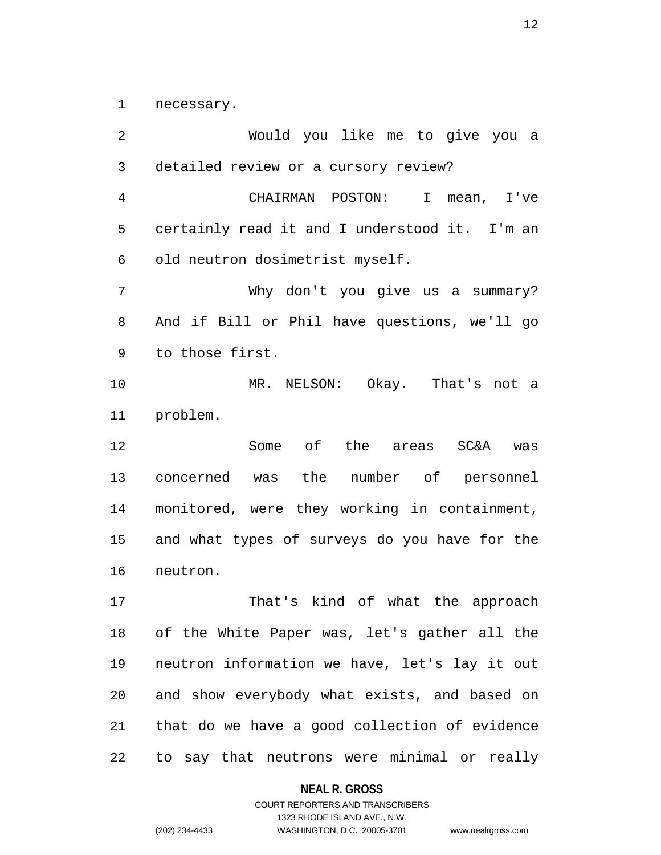1 necessary.

2 Would you like me to give you a 3 detailed review or a cursory review? 4 CHAIRMAN POSTON: I mean, I've 5 certainly read it and I understood it. I'm an 6 old neutron dosimetrist myself. 7 Why don't you give us a summary? 8 And if Bill or Phil have questions, we'll go 9 to those first. 10 MR. NELSON: Okay. That's not a 11 problem. 12 Some of the areas SC&A was 13 concerned was the number of personnel 14 monitored, were they working in containment, 15 and what types of surveys do you have for the 16 neutron. 17 That's kind of what the approach 18 of the White Paper was, let's gather all the 19 neutron information we have, let's lay it out 20 and show everybody what exists, and based on 21 that do we have a good collection of evidence 22 to say that neutrons were minimal or really

#### **NEAL R. GROSS**

COURT REPORTERS AND TRANSCRIBERS 1323 RHODE ISLAND AVE., N.W. (202) 234-4433 WASHINGTON, D.C. 20005-3701 www.nealrgross.com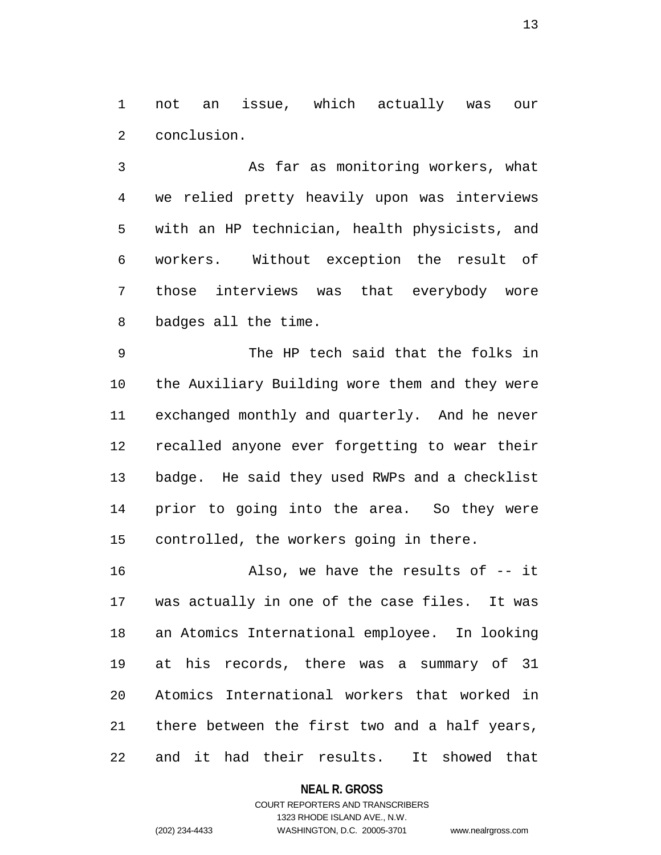1 not an issue, which actually was our 2 conclusion.

3 As far as monitoring workers, what 4 we relied pretty heavily upon was interviews 5 with an HP technician, health physicists, and 6 workers. Without exception the result of 7 those interviews was that everybody wore 8 badges all the time.

9 The HP tech said that the folks in 10 the Auxiliary Building wore them and they were 11 exchanged monthly and quarterly. And he never 12 recalled anyone ever forgetting to wear their 13 badge. He said they used RWPs and a checklist 14 prior to going into the area. So they were 15 controlled, the workers going in there.

16 Also, we have the results of -- it 17 was actually in one of the case files. It was 18 an Atomics International employee. In looking 19 at his records, there was a summary of 31 20 Atomics International workers that worked in 21 there between the first two and a half years, 22 and it had their results. It showed that

**NEAL R. GROSS**

## COURT REPORTERS AND TRANSCRIBERS 1323 RHODE ISLAND AVE., N.W. (202) 234-4433 WASHINGTON, D.C. 20005-3701 www.nealrgross.com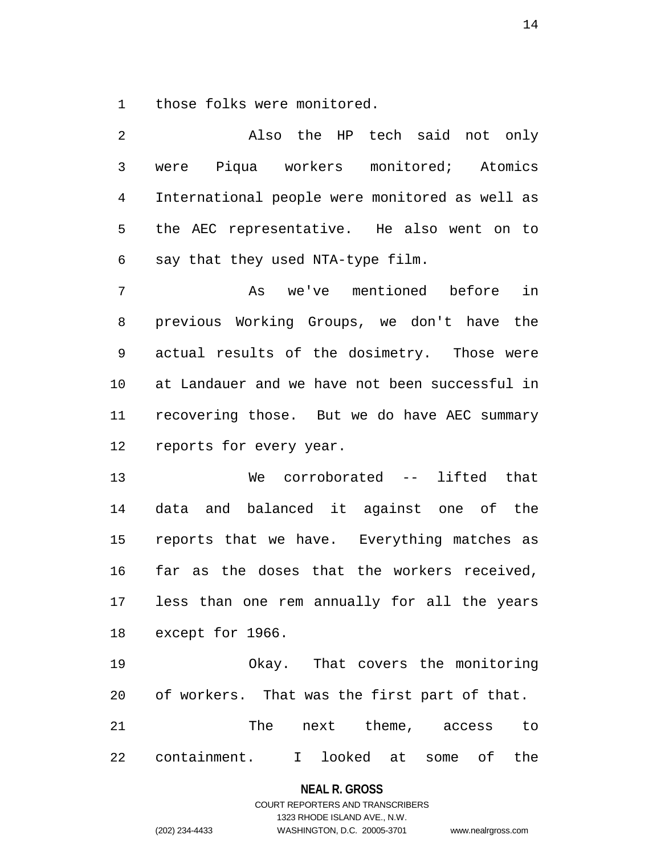1 those folks were monitored.

2 Also the HP tech said not only 3 were Piqua workers monitored; Atomics 4 International people were monitored as well as 5 the AEC representative. He also went on to 6 say that they used NTA-type film. 7 As we've mentioned before in 8 previous Working Groups, we don't have the 9 actual results of the dosimetry. Those were 10 at Landauer and we have not been successful in 11 recovering those. But we do have AEC summary 12 reports for every year. 13 We corroborated -- lifted that 14 data and balanced it against one of the 15 reports that we have. Everything matches as 16 far as the doses that the workers received, 17 less than one rem annually for all the years 18 except for 1966. 19 Okay. That covers the monitoring 20 of workers. That was the first part of that. 21 The next theme, access to

22 containment. I looked at some of the

**NEAL R. GROSS** COURT REPORTERS AND TRANSCRIBERS

1323 RHODE ISLAND AVE., N.W. (202) 234-4433 WASHINGTON, D.C. 20005-3701 www.nealrgross.com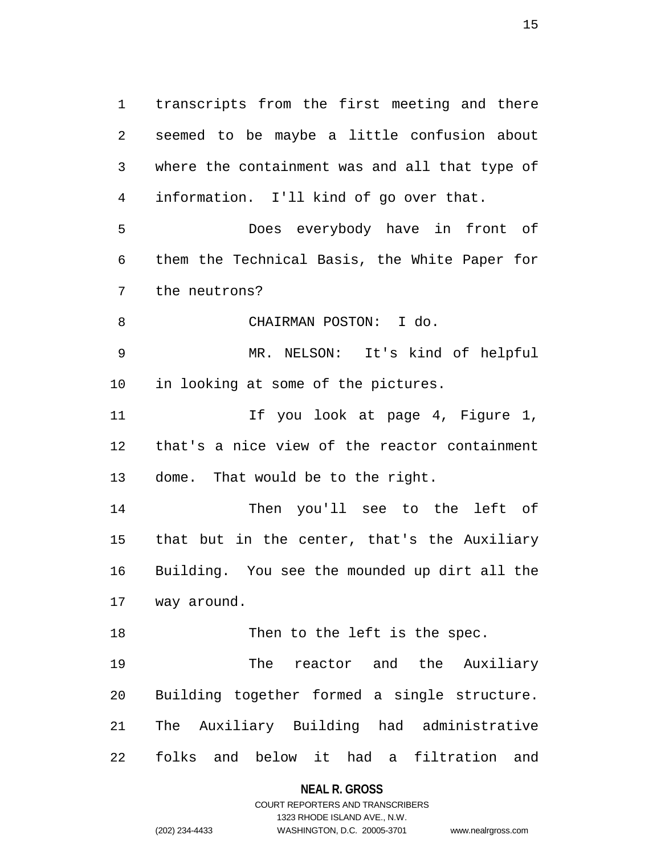1 transcripts from the first meeting and there 2 seemed to be maybe a little confusion about 3 where the containment was and all that type of 4 information. I'll kind of go over that. 5 Does everybody have in front of 6 them the Technical Basis, the White Paper for 7 the neutrons? 8 CHAIRMAN POSTON: I do. 9 MR. NELSON: It's kind of helpful 10 in looking at some of the pictures. 11 11 If you look at page 4, Figure 1, 12 that's a nice view of the reactor containment 13 dome. That would be to the right. 14 Then you'll see to the left of 15 that but in the center, that's the Auxiliary 16 Building. You see the mounded up dirt all the 17 way around. 18 Then to the left is the spec. 19 The reactor and the Auxiliary 20 Building together formed a single structure. 21 The Auxiliary Building had administrative 22 folks and below it had a filtration and

#### **NEAL R. GROSS**

COURT REPORTERS AND TRANSCRIBERS 1323 RHODE ISLAND AVE., N.W. (202) 234-4433 WASHINGTON, D.C. 20005-3701 www.nealrgross.com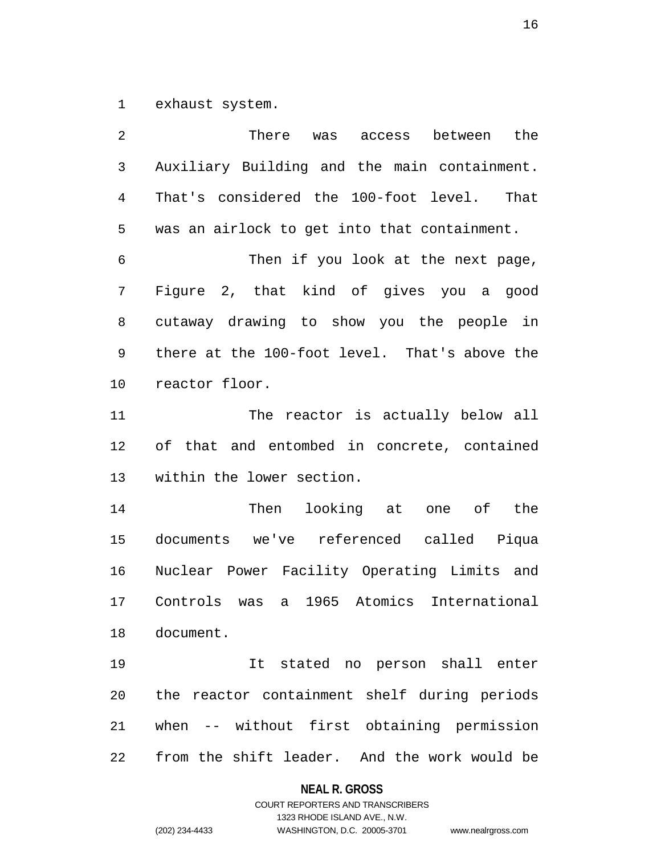1 exhaust system.

2 There was access between the 3 Auxiliary Building and the main containment. 4 That's considered the 100-foot level. That 5 was an airlock to get into that containment. 6 Then if you look at the next page, 7 Figure 2, that kind of gives you a good 8 cutaway drawing to show you the people in 9 there at the 100-foot level. That's above the 10 reactor floor. 11 The reactor is actually below all 12 of that and entombed in concrete, contained 13 within the lower section. 14 Then looking at one of the 15 documents we've referenced called Piqua 16 Nuclear Power Facility Operating Limits and 17 Controls was a 1965 Atomics International 18 document. 19 It stated no person shall enter 20 the reactor containment shelf during periods 21 when -- without first obtaining permission 22 from the shift leader. And the work would be

#### **NEAL R. GROSS**

COURT REPORTERS AND TRANSCRIBERS 1323 RHODE ISLAND AVE., N.W. (202) 234-4433 WASHINGTON, D.C. 20005-3701 www.nealrgross.com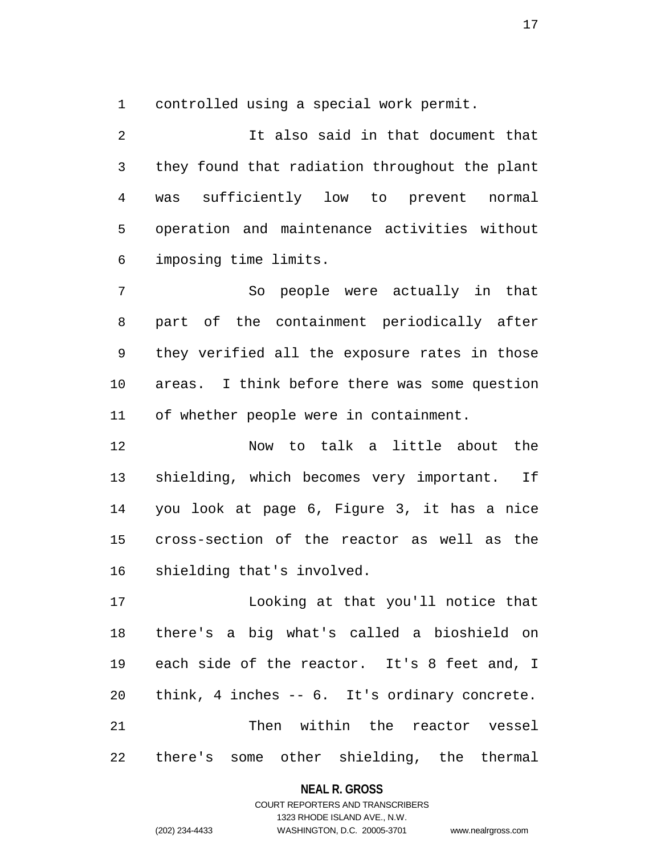1 controlled using a special work permit.

2 It also said in that document that 3 they found that radiation throughout the plant 4 was sufficiently low to prevent normal 5 operation and maintenance activities without 6 imposing time limits.

7 So people were actually in that 8 part of the containment periodically after 9 they verified all the exposure rates in those 10 areas. I think before there was some question 11 of whether people were in containment.

12 Now to talk a little about the 13 shielding, which becomes very important. If 14 you look at page 6, Figure 3, it has a nice 15 cross-section of the reactor as well as the 16 shielding that's involved.

17 Looking at that you'll notice that 18 there's a big what's called a bioshield on 19 each side of the reactor. It's 8 feet and, I 20 think, 4 inches -- 6. It's ordinary concrete. 21 Then within the reactor vessel 22 there's some other shielding, the thermal

## **NEAL R. GROSS**

COURT REPORTERS AND TRANSCRIBERS 1323 RHODE ISLAND AVE., N.W. (202) 234-4433 WASHINGTON, D.C. 20005-3701 www.nealrgross.com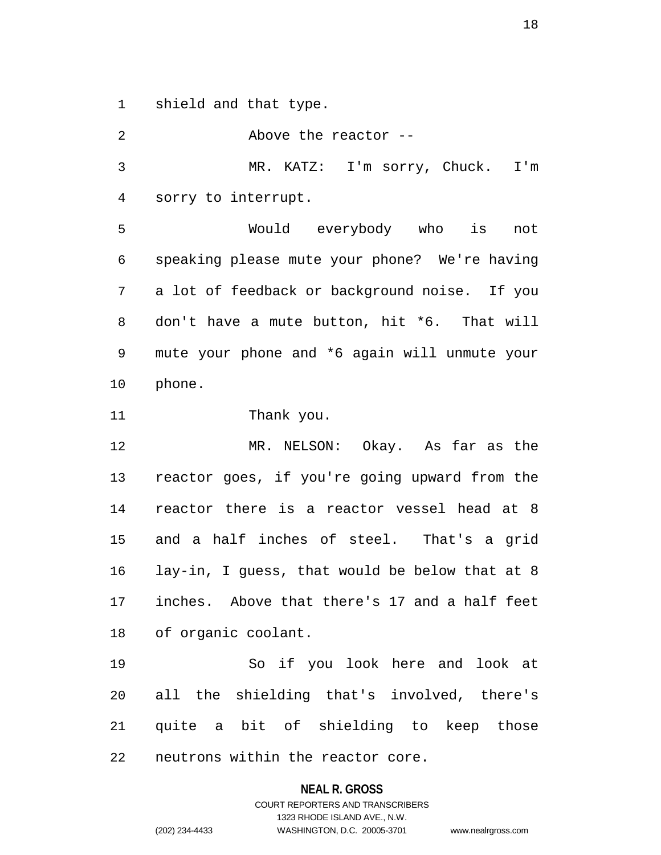1 shield and that type.

2 Above the reactor -- 3 MR. KATZ: I'm sorry, Chuck. I'm 4 sorry to interrupt. 5 Would everybody who is not 6 speaking please mute your phone? We're having 7 a lot of feedback or background noise. If you 8 don't have a mute button, hit \*6. That will 9 mute your phone and \*6 again will unmute your 10 phone. 11 Thank you. 12 MR. NELSON: Okay. As far as the 13 reactor goes, if you're going upward from the 14 reactor there is a reactor vessel head at 8 15 and a half inches of steel. That's a grid 16 lay-in, I guess, that would be below that at 8 17 inches. Above that there's 17 and a half feet 18 of organic coolant. 19 So if you look here and look at 20 all the shielding that's involved, there's 21 quite a bit of shielding to keep those 22 neutrons within the reactor core.

### **NEAL R. GROSS**

# COURT REPORTERS AND TRANSCRIBERS 1323 RHODE ISLAND AVE., N.W. (202) 234-4433 WASHINGTON, D.C. 20005-3701 www.nealrgross.com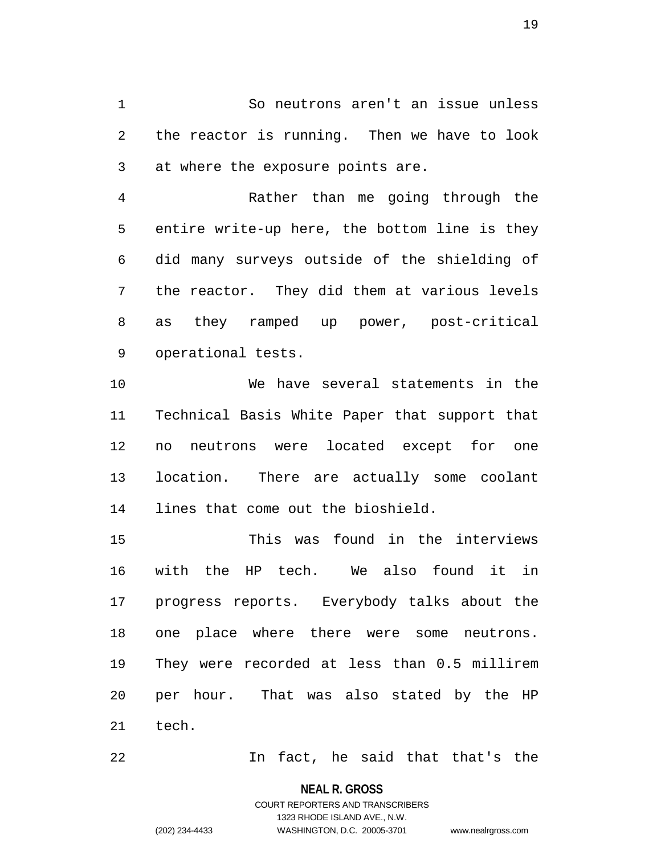1 So neutrons aren't an issue unless 2 the reactor is running. Then we have to look 3 at where the exposure points are.

4 Rather than me going through the 5 entire write-up here, the bottom line is they 6 did many surveys outside of the shielding of 7 the reactor. They did them at various levels 8 as they ramped up power, post-critical 9 operational tests.

10 We have several statements in the 11 Technical Basis White Paper that support that 12 no neutrons were located except for one 13 location. There are actually some coolant 14 lines that come out the bioshield.

15 This was found in the interviews 16 with the HP tech. We also found it in 17 progress reports. Everybody talks about the 18 one place where there were some neutrons. 19 They were recorded at less than 0.5 millirem 20 per hour. That was also stated by the HP 21 tech.

22 In fact, he said that that's the

**NEAL R. GROSS**

COURT REPORTERS AND TRANSCRIBERS 1323 RHODE ISLAND AVE., N.W. (202) 234-4433 WASHINGTON, D.C. 20005-3701 www.nealrgross.com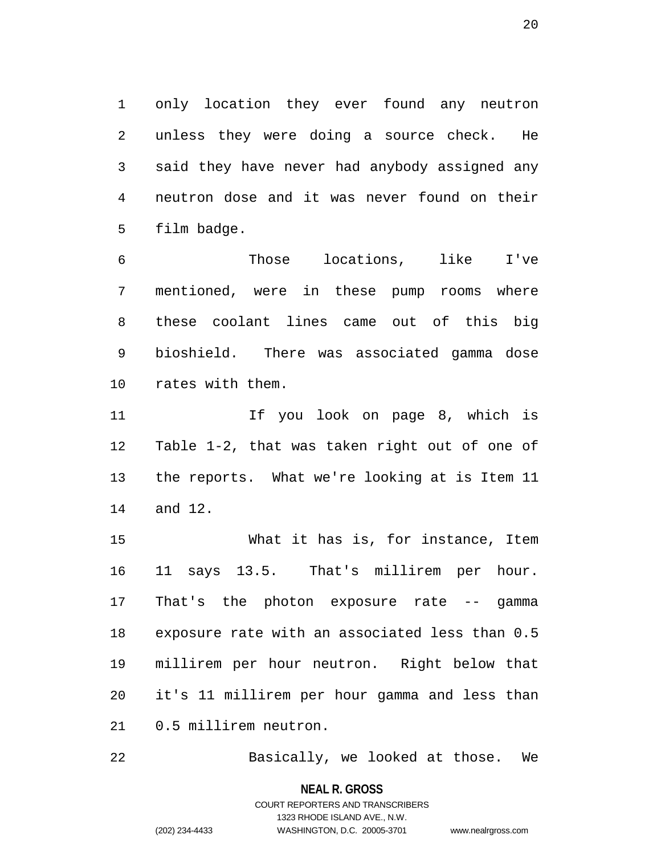1 only location they ever found any neutron 2 unless they were doing a source check. He 3 said they have never had anybody assigned any 4 neutron dose and it was never found on their 5 film badge.

6 Those locations, like I've 7 mentioned, were in these pump rooms where 8 these coolant lines came out of this big 9 bioshield. There was associated gamma dose 10 rates with them.

11 If you look on page 8, which is 12 Table 1-2, that was taken right out of one of 13 the reports. What we're looking at is Item 11 14 and 12.

15 What it has is, for instance, Item 16 11 says 13.5. That's millirem per hour. 17 That's the photon exposure rate -- gamma 18 exposure rate with an associated less than 0.5 19 millirem per hour neutron. Right below that 20 it's 11 millirem per hour gamma and less than 21 0.5 millirem neutron.

22 Basically, we looked at those. We

**NEAL R. GROSS** COURT REPORTERS AND TRANSCRIBERS 1323 RHODE ISLAND AVE., N.W. (202) 234-4433 WASHINGTON, D.C. 20005-3701 www.nealrgross.com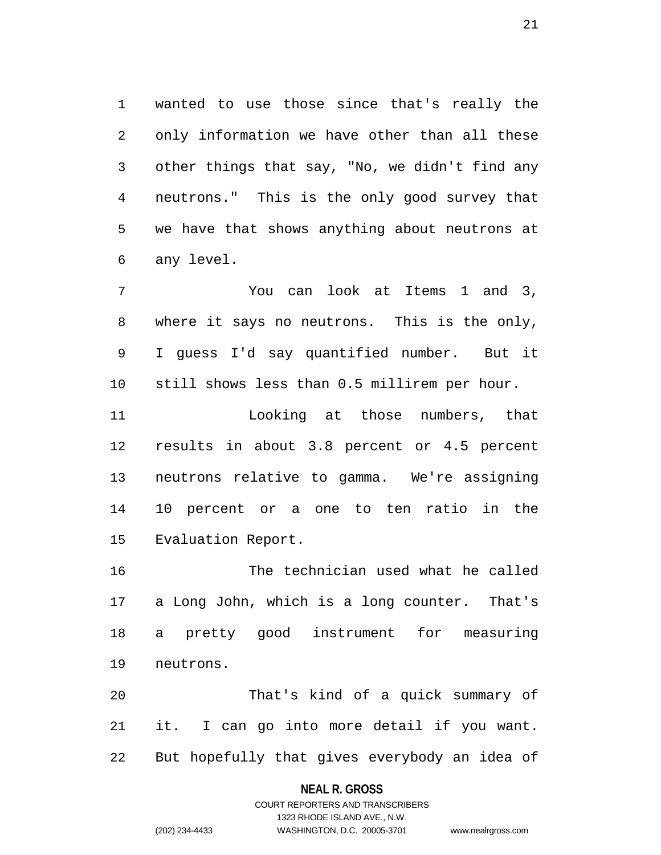1 wanted to use those since that's really the 2 only information we have other than all these 3 other things that say, "No, we didn't find any 4 neutrons." This is the only good survey that 5 we have that shows anything about neutrons at 6 any level.

7 You can look at Items 1 and 3, 8 where it says no neutrons. This is the only, 9 I guess I'd say quantified number. But it 10 still shows less than 0.5 millirem per hour.

11 Looking at those numbers, that 12 results in about 3.8 percent or 4.5 percent 13 neutrons relative to gamma. We're assigning 14 10 percent or a one to ten ratio in the 15 Evaluation Report.

16 The technician used what he called 17 a Long John, which is a long counter. That's 18 a pretty good instrument for measuring 19 neutrons.

20 That's kind of a quick summary of 21 it. I can go into more detail if you want. 22 But hopefully that gives everybody an idea of

### **NEAL R. GROSS**

## COURT REPORTERS AND TRANSCRIBERS 1323 RHODE ISLAND AVE., N.W. (202) 234-4433 WASHINGTON, D.C. 20005-3701 www.nealrgross.com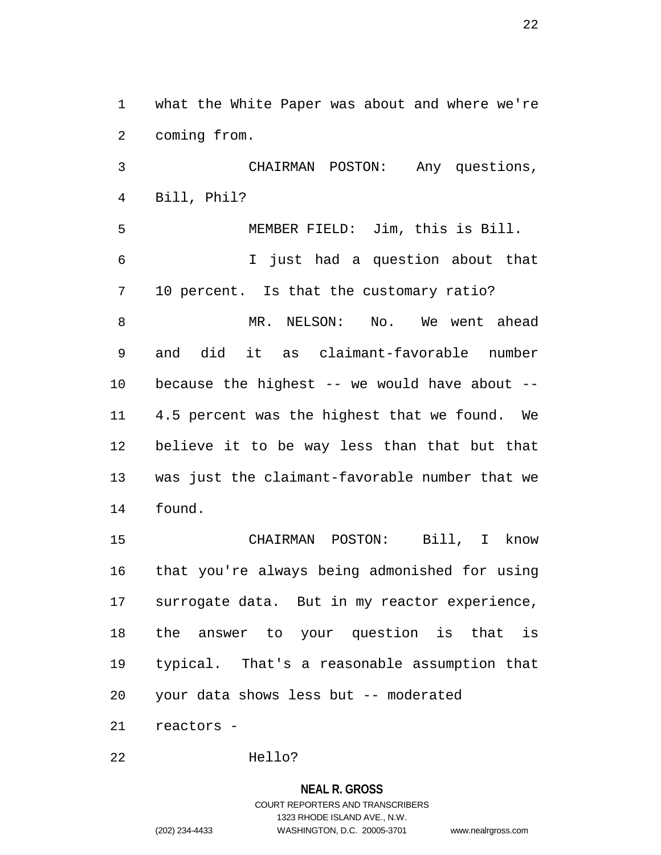1 what the White Paper was about and where we're 2 coming from.

3 CHAIRMAN POSTON: Any questions, 4 Bill, Phil?

5 MEMBER FIELD: Jim, this is Bill. 6 I just had a question about that 7 10 percent. Is that the customary ratio? 8 MR. NELSON: No. We went ahead 9 and did it as claimant-favorable number 10 because the highest -- we would have about -- 11 4.5 percent was the highest that we found. We 12 believe it to be way less than that but that 13 was just the claimant-favorable number that we 14 found.

15 CHAIRMAN POSTON: Bill, I know 16 that you're always being admonished for using 17 surrogate data. But in my reactor experience, 18 the answer to your question is that is 19 typical. That's a reasonable assumption that 20 your data shows less but -- moderated 21 reactors -

22 Hello?

# **NEAL R. GROSS** COURT REPORTERS AND TRANSCRIBERS 1323 RHODE ISLAND AVE., N.W. (202) 234-4433 WASHINGTON, D.C. 20005-3701 www.nealrgross.com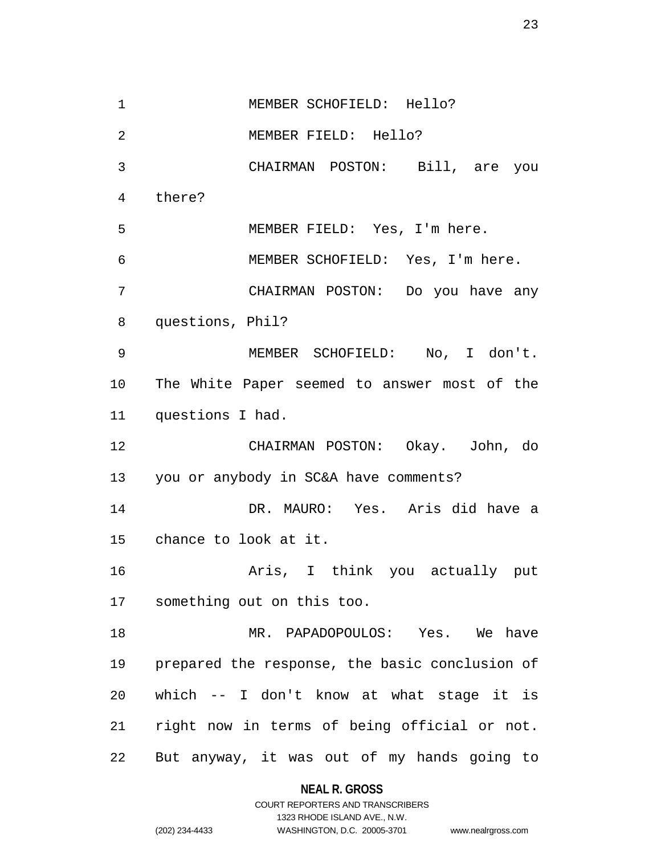1 MEMBER SCHOFIELD: Hello? 2 MEMBER FIELD: Hello? 3 CHAIRMAN POSTON: Bill, are you 4 there? 5 MEMBER FIELD: Yes, I'm here. 6 MEMBER SCHOFIELD: Yes, I'm here. 7 CHAIRMAN POSTON: Do you have any 8 questions, Phil? 9 MEMBER SCHOFIELD: No, I don't. 10 The White Paper seemed to answer most of the 11 questions I had. 12 CHAIRMAN POSTON: Okay. John, do 13 you or anybody in SC&A have comments? 14 DR. MAURO: Yes. Aris did have a 15 chance to look at it. 16 Aris, I think you actually put 17 something out on this too. 18 MR. PAPADOPOULOS: Yes. We have 19 prepared the response, the basic conclusion of 20 which -- I don't know at what stage it is 21 right now in terms of being official or not. 22 But anyway, it was out of my hands going to

> **NEAL R. GROSS** COURT REPORTERS AND TRANSCRIBERS

1323 RHODE ISLAND AVE., N.W. (202) 234-4433 WASHINGTON, D.C. 20005-3701 www.nealrgross.com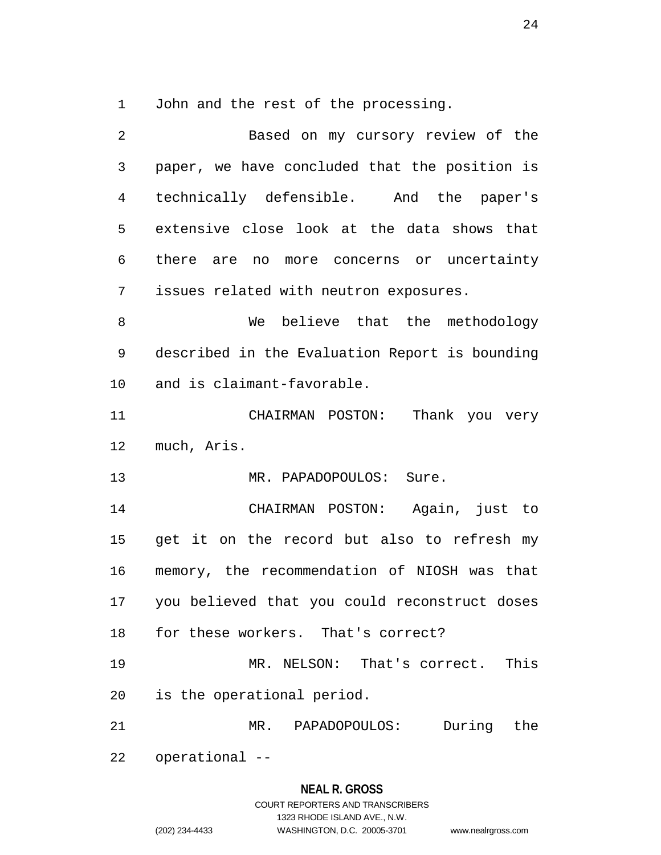1 John and the rest of the processing.

2 Based on my cursory review of the 3 paper, we have concluded that the position is 4 technically defensible. And the paper's 5 extensive close look at the data shows that 6 there are no more concerns or uncertainty 7 issues related with neutron exposures. 8 We believe that the methodology 9 described in the Evaluation Report is bounding 10 and is claimant-favorable. 11 CHAIRMAN POSTON: Thank you very 12 much, Aris. 13 MR. PAPADOPOULOS: Sure. 14 CHAIRMAN POSTON: Again, just to 15 get it on the record but also to refresh my 16 memory, the recommendation of NIOSH was that 17 you believed that you could reconstruct doses 18 for these workers. That's correct? 19 MR. NELSON: That's correct. This 20 is the operational period. 21 MR. PAPADOPOULOS: During the 22 operational --

### **NEAL R. GROSS**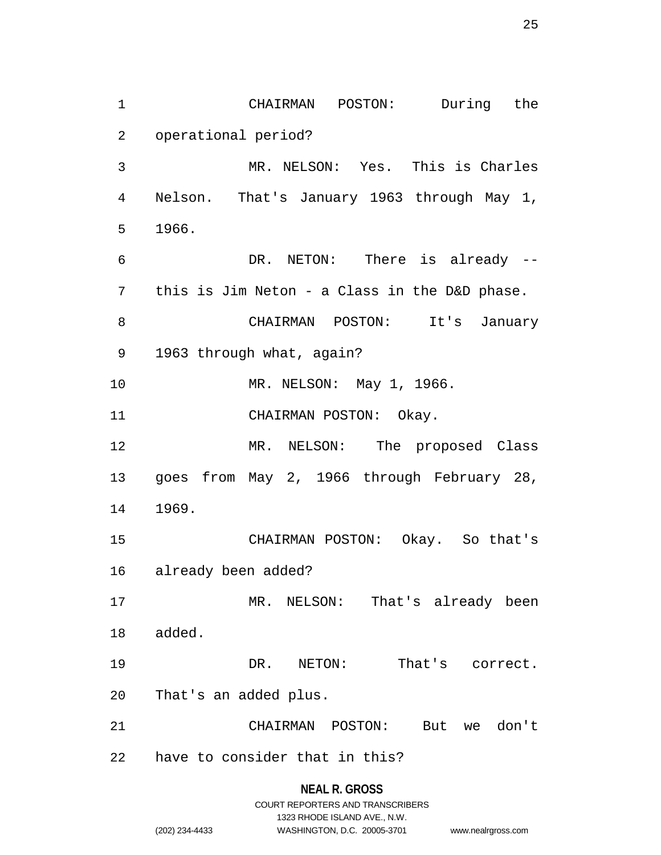1 CHAIRMAN POSTON: During the 2 operational period? 3 MR. NELSON: Yes. This is Charles 4 Nelson. That's January 1963 through May 1, 5 1966. 6 DR. NETON: There is already -- 7 this is Jim Neton - a Class in the D&D phase. 8 CHAIRMAN POSTON: It's January 9 1963 through what, again? 10 MR. NELSON: May 1, 1966. 11 CHAIRMAN POSTON: Okay. 12 MR. NELSON: The proposed Class 13 goes from May 2, 1966 through February 28, 14 1969. 15 CHAIRMAN POSTON: Okay. So that's 16 already been added? 17 MR. NELSON: That's already been 18 added. 19 DR. NETON: That's correct. 20 That's an added plus. 21 CHAIRMAN POSTON: But we don't 22 have to consider that in this?

# **NEAL R. GROSS** COURT REPORTERS AND TRANSCRIBERS 1323 RHODE ISLAND AVE., N.W. (202) 234-4433 WASHINGTON, D.C. 20005-3701 www.nealrgross.com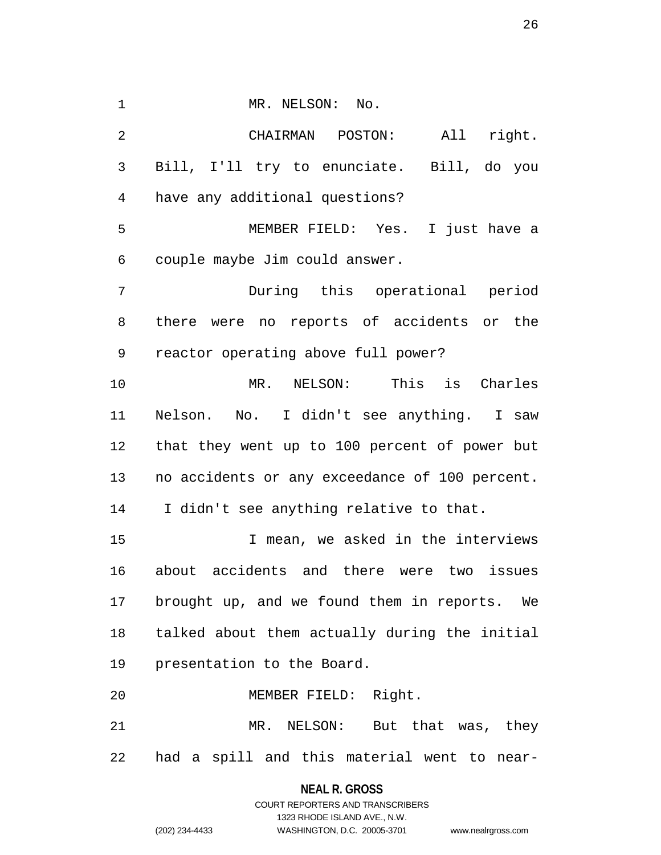1 MR. NELSON: No. 2 CHAIRMAN POSTON: All right. 3 Bill, I'll try to enunciate. Bill, do you 4 have any additional questions? 5 MEMBER FIELD: Yes. I just have a 6 couple maybe Jim could answer. 7 During this operational period 8 there were no reports of accidents or the 9 reactor operating above full power? 10 MR. NELSON: This is Charles 11 Nelson. No. I didn't see anything. I saw 12 that they went up to 100 percent of power but 13 no accidents or any exceedance of 100 percent. 14 I didn't see anything relative to that. 15 I mean, we asked in the interviews 16 about accidents and there were two issues 17 brought up, and we found them in reports. We

18 talked about them actually during the initial 19 presentation to the Board.

20 MEMBER FIELD: Right.

21 MR. NELSON: But that was, they 22 had a spill and this material went to near-

# **NEAL R. GROSS** COURT REPORTERS AND TRANSCRIBERS 1323 RHODE ISLAND AVE., N.W. (202) 234-4433 WASHINGTON, D.C. 20005-3701 www.nealrgross.com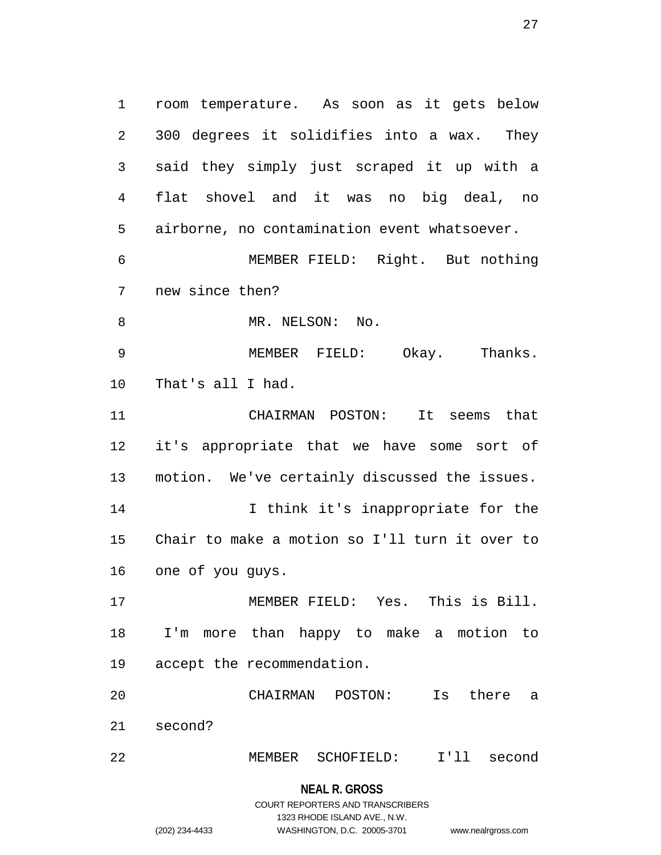1 room temperature. As soon as it gets below 2 300 degrees it solidifies into a wax. They 3 said they simply just scraped it up with a 4 flat shovel and it was no big deal, no 5 airborne, no contamination event whatsoever. 6 MEMBER FIELD: Right. But nothing 7 new since then? 8 MR. NELSON: No. 9 MEMBER FIELD: Okay. Thanks. 10 That's all I had. 11 CHAIRMAN POSTON: It seems that 12 it's appropriate that we have some sort of 13 motion. We've certainly discussed the issues. 14 I think it's inappropriate for the 15 Chair to make a motion so I'll turn it over to 16 one of you guys. 17 MEMBER FIELD: Yes. This is Bill. 18 I'm more than happy to make a motion to 19 accept the recommendation. 20 CHAIRMAN POSTON: Is there a 21 second?

22 MEMBER SCHOFIELD: I'll second

**NEAL R. GROSS** COURT REPORTERS AND TRANSCRIBERS 1323 RHODE ISLAND AVE., N.W. (202) 234-4433 WASHINGTON, D.C. 20005-3701 www.nealrgross.com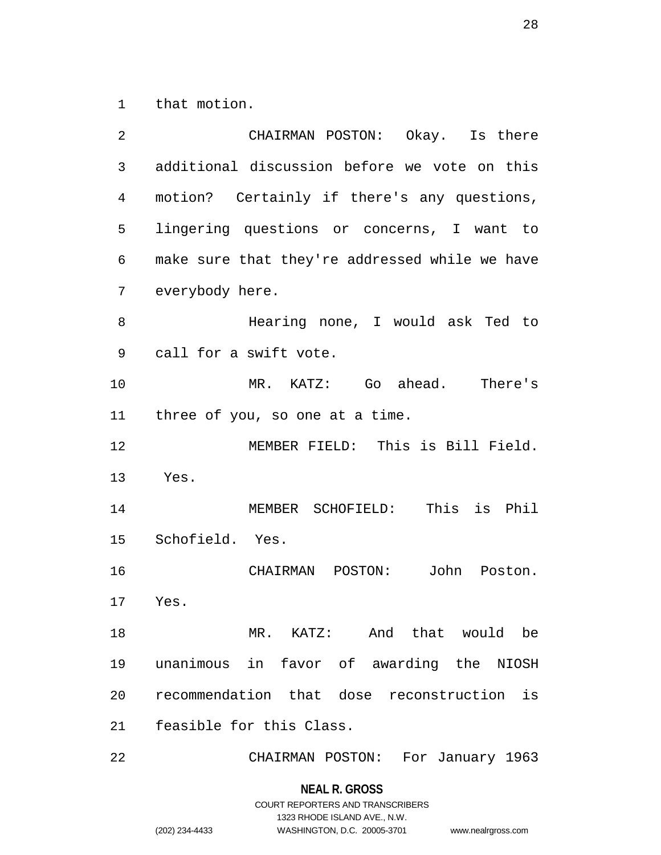1 that motion.

| 2  | CHAIRMAN POSTON: Okay. Is there                |
|----|------------------------------------------------|
| 3  | additional discussion before we vote on this   |
| 4  | motion? Certainly if there's any questions,    |
| 5  | lingering questions or concerns, I want to     |
| 6  | make sure that they're addressed while we have |
| 7  | everybody here.                                |
| 8  | Hearing none, I would ask Ted to               |
| 9  | call for a swift vote.                         |
| 10 | MR. KATZ: Go ahead. There's                    |
| 11 | three of you, so one at a time.                |
| 12 | MEMBER FIELD: This is Bill Field.              |
| 13 | Yes.                                           |
| 14 | This is Phil<br>MEMBER SCHOFIELD:              |
| 15 | Schofield. Yes.                                |
| 16 | CHAIRMAN POSTON: John<br>Poston.               |
| 17 | Yes.                                           |
| 18 | MR. KATZ: And that would be                    |
| 19 | unanimous in favor of awarding the NIOSH       |
| 20 | recommendation that dose reconstruction is     |
| 21 | feasible for this Class.                       |
| 22 | CHAIRMAN POSTON: For January 1963              |

**NEAL R. GROSS**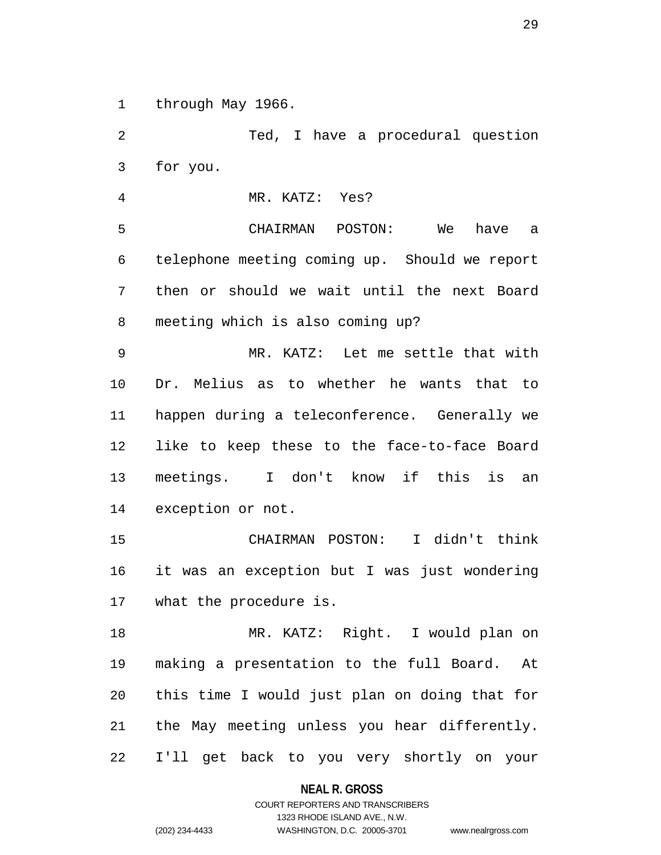1 through May 1966.

2 Ted, I have a procedural question 3 for you. 4 MR. KATZ: Yes? 5 CHAIRMAN POSTON: We have a 6 telephone meeting coming up. Should we report 7 then or should we wait until the next Board 8 meeting which is also coming up? 9 MR. KATZ: Let me settle that with 10 Dr. Melius as to whether he wants that to 11 happen during a teleconference. Generally we 12 like to keep these to the face-to-face Board 13 meetings. I don't know if this is an 14 exception or not. 15 CHAIRMAN POSTON: I didn't think 16 it was an exception but I was just wondering 17 what the procedure is. 18 MR. KATZ: Right. I would plan on 19 making a presentation to the full Board. At 20 this time I would just plan on doing that for 21 the May meeting unless you hear differently. 22 I'll get back to you very shortly on your

**NEAL R. GROSS**

COURT REPORTERS AND TRANSCRIBERS 1323 RHODE ISLAND AVE., N.W. (202) 234-4433 WASHINGTON, D.C. 20005-3701 www.nealrgross.com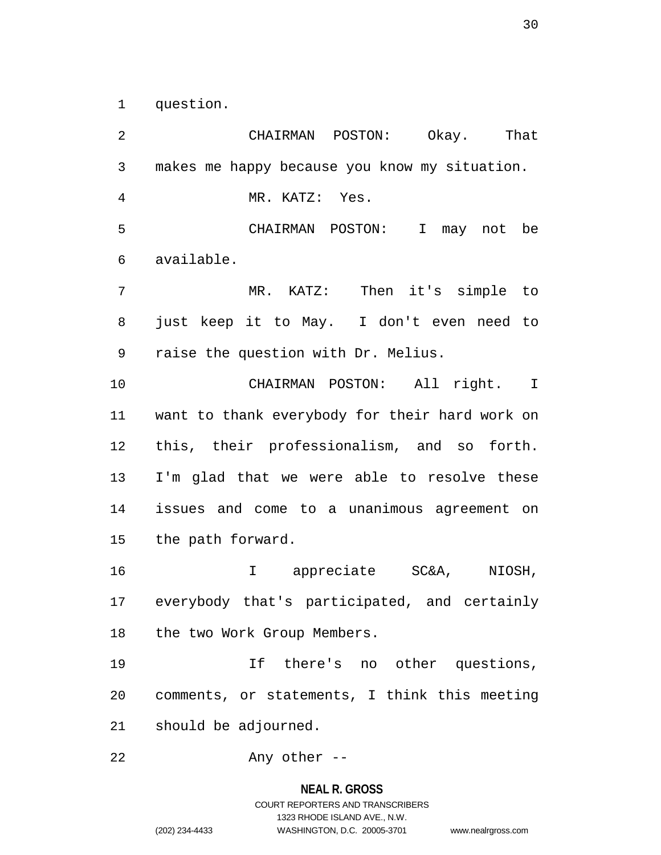1 question.

2 CHAIRMAN POSTON: Okay. That 3 makes me happy because you know my situation. 4 MR. KATZ: Yes. 5 CHAIRMAN POSTON: I may not be 6 available. 7 MR. KATZ: Then it's simple to 8 just keep it to May. I don't even need to 9 raise the question with Dr. Melius. 10 CHAIRMAN POSTON: All right. I 11 want to thank everybody for their hard work on 12 this, their professionalism, and so forth. 13 I'm glad that we were able to resolve these 14 issues and come to a unanimous agreement on 15 the path forward. 16 I appreciate SC&A, NIOSH, 17 everybody that's participated, and certainly 18 the two Work Group Members. 19 If there's no other questions, 20 comments, or statements, I think this meeting 21 should be adjourned. 22 Any other --